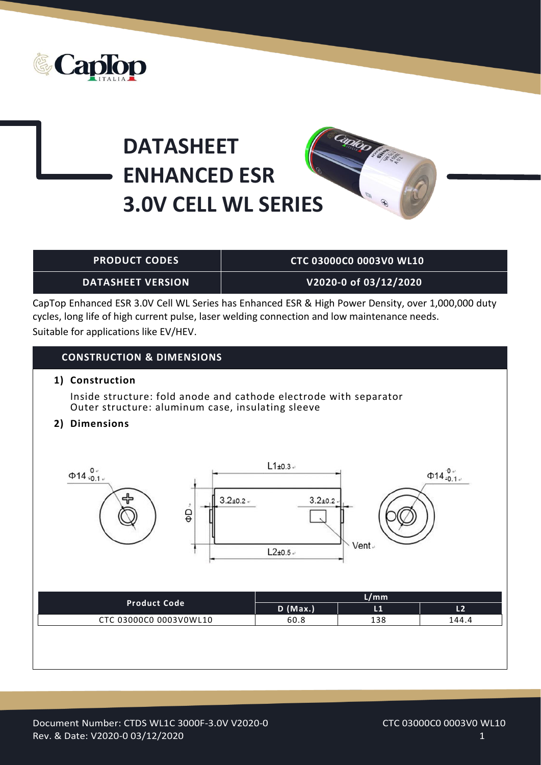

## **DATASHEET ENHANCED ESR 3.0V CELL WL SERIES**



## **PRODUCT CODES CTC 03000C0 0003V0 WL10**

**DATASHEET VERSION V2020-0 of 03/12/2020**

CapTop Enhanced ESR 3.0V Cell WL Series has Enhanced ESR & High Power Density, over 1,000,000 duty cycles, long life of high current pulse, laser welding connection and low maintenance needs. Suitable for applications like EV/HEV.

## **CONSTRUCTION & DIMENSIONS**

**1) Construction**

Inside structure: fold anode and cathode electrode with separator Outer structure: aluminum case, insulating sleeve

**2) Dimensions**

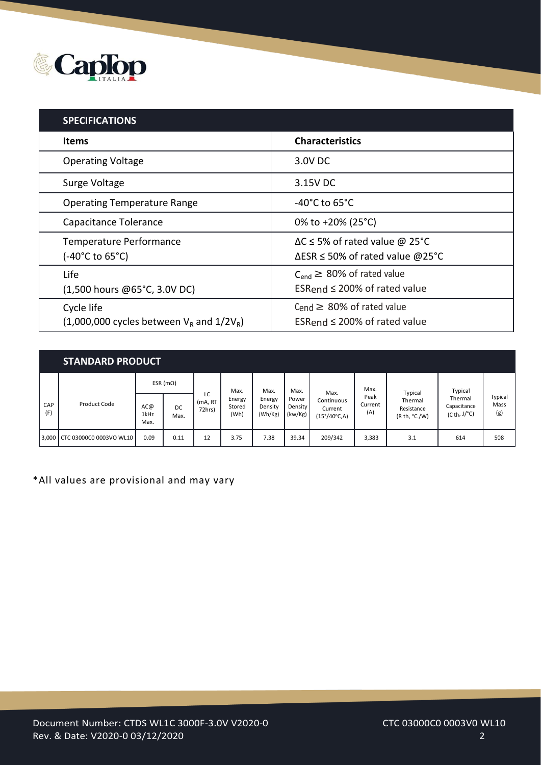

| <b>SPECIFICATIONS</b>                                          |                                                                                          |
|----------------------------------------------------------------|------------------------------------------------------------------------------------------|
| <b>Items</b>                                                   | <b>Characteristics</b>                                                                   |
| <b>Operating Voltage</b>                                       | 3.0V DC                                                                                  |
| Surge Voltage                                                  | 3.15V DC                                                                                 |
| <b>Operating Temperature Range</b>                             | -40 $^{\circ}$ C to 65 $^{\circ}$ C                                                      |
| Capacitance Tolerance                                          | 0% to +20% (25°C)                                                                        |
| Temperature Performance<br>(-40°C to 65°C)                     | $\Delta C \le 5\%$ of rated value @ 25°C<br>$\Delta$ ESR $\leq$ 50% of rated value @25°C |
| Life<br>(1,500 hours @65°C, 3.0V DC)                           | $C_{end} \geq 80\%$ of rated value<br>ESRend $\leq$ 200% of rated value                  |
| Cycle life<br>$(1,000,000$ cycles between $V_R$ and $1/2V_R$ ) | Cend $\geq$ 80% of rated value<br>ESRend $\leq$ 200% of rated value                      |

|            | <b>STANDARD PRODUCT</b>       |                     |                   |                    |                          |                              |                             |                                       |                        |                                       |                                                |                        |
|------------|-------------------------------|---------------------|-------------------|--------------------|--------------------------|------------------------------|-----------------------------|---------------------------------------|------------------------|---------------------------------------|------------------------------------------------|------------------------|
|            |                               |                     | ESR ( $m\Omega$ ) | LC                 | Max.                     | Max.                         | Max.                        | Max.                                  | Max.                   | Typical                               | Typical                                        |                        |
| CAP<br>(F) | Product Code                  | AC@<br>1kHz<br>Max. | DC<br>Max.        | (mA, RT)<br>72hrs) | Energy<br>Stored<br>(Wh) | Energy<br>Density<br>(Wh/Kg) | Power<br>Density<br>(kw/Kg) | Continuous<br>Current<br>(15°/40°C,A) | Peak<br>Current<br>(A) | Thermal<br>Resistance<br>(R th, °C/W) | Thermal<br>Capacitance<br>$(Cth, J/^{\circ}C)$ | Typical<br>Mass<br>(g) |
|            | 3,000 CTC 03000C0 0003VO WL10 | 0.09                | 0.11              | 12                 | 3.75                     | 7.38                         | 39.34                       | 209/342                               | 3,383                  | 3.1                                   | 614                                            | 508                    |

\*All values are provisional and may vary